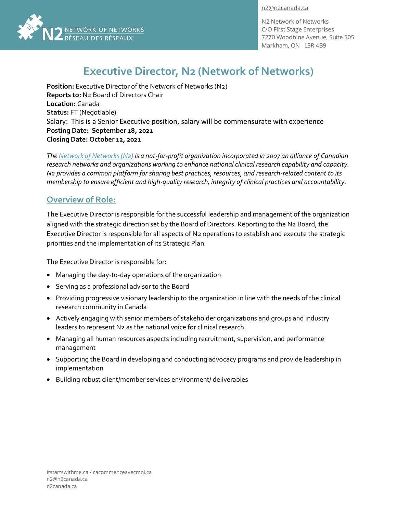[n2@n2canada.ca](mailto:n2@n2canada.ca)



N2 Network of Networks C/O First Stage Enterprises 7270 Woodbine Avenue, Suite 305 Markham, ON L3R 4B9

# **Executive Director, N2 (Network of Networks)**

**Position:** Executive Director of the Network of Networks (N2) **Reports to:** N2 Board of Directors Chair **Location:** Canada **Status:** FT (Negotiable) Salary: This is a Senior Executive position, salary will be commensurate with experience **Posting Date: September 18, 2021 Closing Date: October 12, 2021**

*Th[e Network of Networks \(N2\)](https://n2canada.ca/) is a not-for-profit organization incorporated in 2007 an alliance of Canadian research networks and organizations working to enhance national clinical research capability and capacity. N2 provides a common platform for sharing best practices, resources, and research-related content to its membership to ensure efficient and high-quality research, integrity of clinical practices and accountability.*

## **Overview of Role:**

The Executive Director is responsible for the successful leadership and management of the organization aligned with the strategic direction set by the Board of Directors. Reporting to the N2 Board, the Executive Director is responsible for all aspects of N2 operations to establish and execute the strategic priorities and the implementation of its Strategic Plan.

The Executive Director is responsible for:

- Managing the day-to-day operations of the organization
- Serving as a professional advisor to the Board
- Providing progressive visionary leadership to the organization in line with the needs of the clinical research community in Canada
- Actively engaging with senior members of stakeholder organizations and groups and industry leaders to represent N2 as the national voice for clinical research.
- Managing all human resources aspects including recruitment, supervision, and performance management
- Supporting the Board in developing and conducting advocacy programs and provide leadership in implementation
- Building robust client/member services environment/ deliverables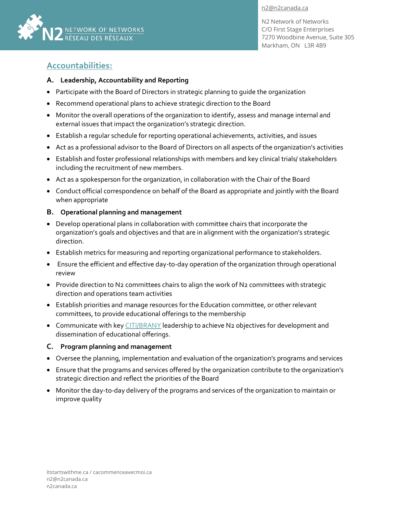



N2 Network of Networks C/O First Stage Enterprises 7270 Woodbine Avenue, Suite 305 Markham, ON L3R 4B9

## **Accountabilities:**

#### **A. Leadership, Accountability and Reporting**

- Participate with the Board of Directors in strategic planning to guide the organization
- Recommend operational plans to achieve strategic direction to the Board
- Monitor the overall operations of the organization to identify, assess and manage internal and external issues that impact the organization's strategic direction.
- Establish a regular schedule for reporting operational achievements, activities, and issues
- Act as a professional advisor to the Board of Directors on all aspects of the organization's activities
- Establish and foster professional relationships with members and key clinical trials/ stakeholders including the recruitment of new members.
- Act as a spokesperson for the organization, in collaboration with the Chair of the Board
- Conduct official correspondence on behalf of the Board as appropriate and jointly with the Board when appropriate

### **B. Operational planning and management**

- Develop operational plans in collaboration with committee chairs that incorporate the organization's goals and objectives and that are in alignment with the organization's strategic direction.
- Establish metrics for measuring and reporting organizational performance to stakeholders.
- Ensure the efficient and effective day-to-day operation of the organization through operational review
- Provide direction to N2 committees chairs to align the work of N2 committees with strategic direction and operations team activities
- Establish priorities and manage resources for the Education committee, or other relevant committees, to provide educational offerings to the membership
- Communicate with ke[y CITI/BRANY](https://about.citiprogram.org/) leadership to achieve N2 objectives for development and dissemination of educational offerings.

#### **C. Program planning and management**

- Oversee the planning, implementation and evaluation of the organization's programs and services
- Ensure that the programs and services offered by the organization contribute to the organization's strategic direction and reflect the priorities of the Board
- Monitor the day-to-day delivery of the programs and services of the organization to maintain or improve quality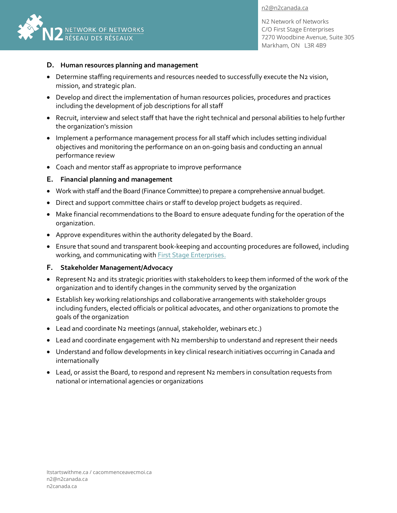[n2@n2canada.ca](mailto:n2@n2canada.ca)



N2 Network of Networks C/O First Stage Enterprises 7270 Woodbine Avenue, Suite 305 Markham, ON L3R 4B9

#### **D. Human resources planning and management**

- Determine staffing requirements and resources needed to successfully execute the N2 vision, mission, and strategic plan.
- Develop and direct the implementation of human resources policies, procedures and practices including the development of job descriptions for all staff
- Recruit, interview and select staff that have the right technical and personal abilities to help further the organization's mission
- Implement a performance management process for all staff which includes setting individual objectives and monitoring the performance on an on-going basis and conducting an annual performance review
- Coach and mentor staff as appropriate to improve performance

#### **E. Financial planning and management**

- Work with staff and the Board (Finance Committee) to prepare a comprehensive annual budget.
- Direct and support committee chairs or staff to develop project budgets as required.
- Make financial recommendations to the Board to ensure adequate funding for the operation of the organization.
- Approve expenditures within the authority delegated by the Board.
- Ensure that sound and transparent book-keeping and accounting procedures are followed, including working, and communicating with **First Stage Enterprises**.

#### **F. Stakeholder Management/Advocacy**

- Represent N2 and its strategic priorities with stakeholders to keep them informed of the work of the organization and to identify changes in the community served by the organization
- Establish key working relationships and collaborative arrangements with stakeholder groups including funders, elected officials or political advocates, and other organizations to promote the goals of the organization
- Lead and coordinate N2 meetings (annual, stakeholder, webinars etc.)
- Lead and coordinate engagement with N2 membership to understand and represent their needs
- Understand and follow developments in key clinical research initiatives occurring in Canada and internationally
- Lead, or assist the Board, to respond and represent N2 members in consultation requests from national or international agencies or organizations